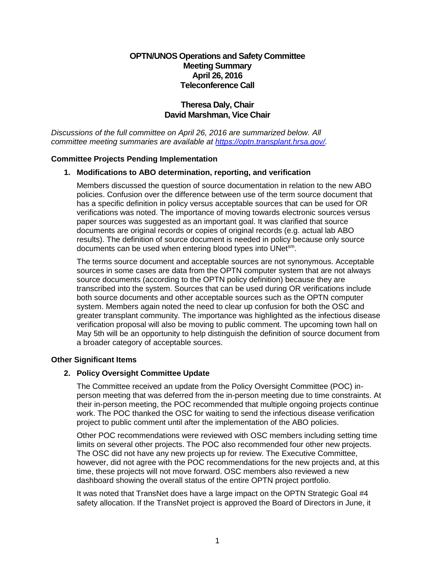# **OPTN/UNOS Operations and Safety Committee Meeting Summary April 26, 2016 Teleconference Call**

# **Theresa Daly, Chair David Marshman, Vice Chair**

*Discussions of the full committee on April 26, 2016 are summarized below. All committee meeting summaries are available at https[://optn.transpla](https://optn.transplant.hrsa.gov/)nt.hrsa.gov/.* 

## **Committee Projects Pending Implementation**

## **1. Modifications to ABO determination, reporting, and verification**

Members discussed the question of source documentation in relation to the new ABO policies. Confusion over the difference between use of the term source document that has a specific definition in policy versus acceptable sources that can be used for OR verifications was noted. The importance of moving towards electronic sources versus paper sources was suggested as an important goal. It was clarified that source documents are original records or copies of original records (e.g. actual lab ABO results). The definition of source document is needed in policy because only source documents can be used when entering blood types into UNet<sup>sm</sup>.

The terms source document and acceptable sources are not synonymous. Acceptable sources in some cases are data from the OPTN computer system that are not always source documents (according to the OPTN policy definition) because they are transcribed into the system. Sources that can be used during OR verifications include both source documents and other acceptable sources such as the OPTN computer system. Members again noted the need to clear up confusion for both the OSC and greater transplant community. The importance was highlighted as the infectious disease verification proposal will also be moving to public comment. The upcoming town hall on May 5th will be an opportunity to help distinguish the definition of source document from a broader category of acceptable sources.

#### **Other Significant Items**

## **2. Policy Oversight Committee Update**

The Committee received an update from the Policy Oversight Committee (POC) inperson meeting that was deferred from the in-person meeting due to time constraints. At their in-person meeting, the POC recommended that multiple ongoing projects continue work. The POC thanked the OSC for waiting to send the infectious disease verification project to public comment until after the implementation of the ABO policies.

Other POC recommendations were reviewed with OSC members including setting time limits on several other projects. The POC also recommended four other new projects. The OSC did not have any new projects up for review. The Executive Committee, however, did not agree with the POC recommendations for the new projects and, at this time, these projects will not move forward. OSC members also reviewed a new dashboard showing the overall status of the entire OPTN project portfolio.

It was noted that TransNet does have a large impact on the OPTN Strategic Goal #4 safety allocation. If the TransNet project is approved the Board of Directors in June, it